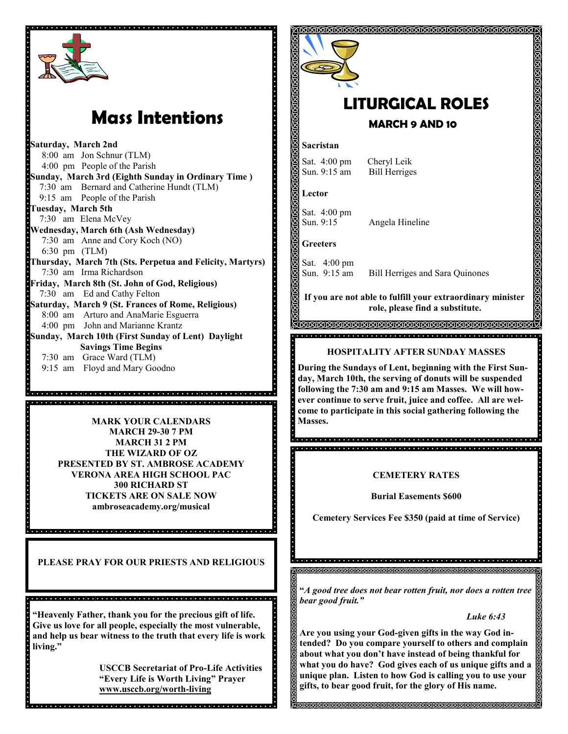

# **Mass Intentions**

**Saturday, March 2nd** 8:00 am Jon Schnur (TLM) 4:00 pm People of the Parish **Sunday, March 3rd (Eighth Sunday in Ordinary Time )** 7:30 am Bernard and Catherine Hundt (TLM) 9:15 am People of the Parish **Tuesday, March 5th** 7:30 am Elena McVey **Wednesday, March 6th (Ash Wednesday)** 7:30 am Anne and Cory Koch (NO) 6:30 pm (TLM) **Thursday, March 7th (Sts. Perpetua and Felicity, Martyrs)** 7:30 am Irma Richardson **Friday, March 8th (St. John of God, Religious)** 7:30 am Ed and Cathy Felton **Saturday, March 9 (St. Frances of Rome, Religious)**  8:00 am Arturo and AnaMarie Esguerra 4:00 pm John and Marianne Krantz **Sunday, March 10th (First Sunday of Lent) Daylight Savings Time Begins** 7:30 am Grace Ward (TLM) 9:15 am Floyd and Mary Goodno

> **MARK YOUR CALENDARS MARK YOUR CALENDARS MARCH 29-30 7 PM MARCH 31 2 PM THE WIZARD OF OZ PRESENTED BY ST. AMBROSE ACADEMY VERONA AREA HIGH SCHOOL PAC 300 RICHARD ST TICKETS ARE ON SALE NOW ambroseacademy.org/musical**

<u>a a de a de la defendación de la defendación de la defendación de la defendación de la defendación de la p</u>

**PLEASE PRAY FOR OUR PRIESTS AND RELIGIOUS** 

**"Heavenly Father, thank you for the precious gift of life. Give us love for all people, especially the most vulnerable, and help us bear witness to the truth that every life is work living."**

**USCCB Secretariat of Pro-Life Activities "Every Life is Worth Living" Prayer www.usccb.org/worth-living**



## **LITURGICAL ROLES MARCH 9 AND 10**

#### **Sacristan**

Sat. 4:00 pm Cheryl Leik Sun. 9:15 am Bill Herriges

**Lector**

Sat. 4:00 pm Sun. 9:15 Angela Hineline

**Greeters**

Sat. 4:00 pm<br>Sun. 9:15 am

Bill Herriges and Sara Quinones

**If you are not able to fulfill your extraordinary minister role, please find a substitute.** 

IQQAAQAAQAAQAAQAAQAAQAAQAAQAAQAA

#### **HOSPITALITY AFTER SUNDAY MASSES**

**During the Sundays of Lent, beginning with the First Sunday, March 10th, the serving of donuts will be suspended following the 7:30 am and 9:15 am Masses. We will however continue to serve fruit, juice and coffee. All are welcome to participate in this social gathering following the** 

.<br>2000 - 2000 - 2000 - 2000 - 2000 - 2000 - 2000 - 2000 - 2000 - 2000 - 2000 - 2000 - 2000 - 2000 - 2000 - 2000 

#### **CEMETERY RATES**

**Burial Easements \$600**

**Cemetery Services Fee \$350 (paid at time of Service)**

**"***A good tree does not bear rotten fruit, nor does a rotten tree bear good fruit."*

*Luke 6:43*

**Are you using your God-given gifts in the way God intended? Do you compare yourself to others and complain about what you don't have instead of being thankful for what you do have? God gives each of us unique gifts and a unique plan. Listen to how God is calling you to use your gifts, to bear good fruit, for the glory of His name.**